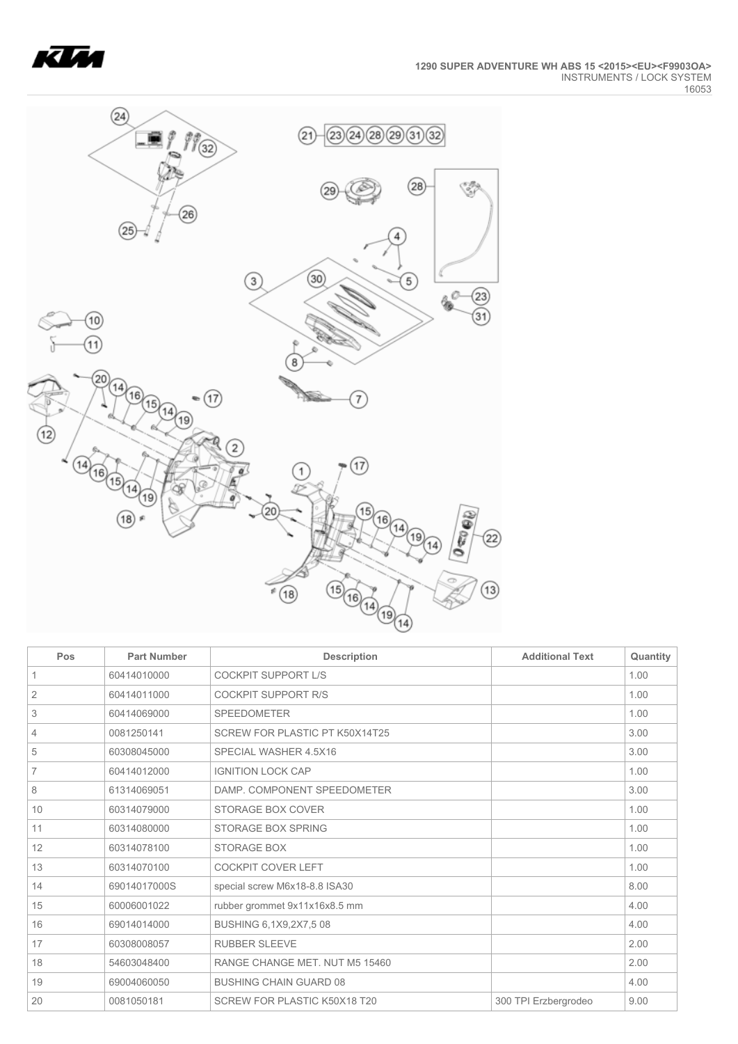



| Pos            | <b>Part Number</b> | <b>Description</b>             | <b>Additional Text</b> | Quantity |
|----------------|--------------------|--------------------------------|------------------------|----------|
| 1              | 60414010000        | <b>COCKPIT SUPPORT L/S</b>     |                        | 1.00     |
| $\overline{2}$ | 60414011000        | <b>COCKPIT SUPPORT R/S</b>     |                        | 1.00     |
| 3              | 60414069000        | <b>SPEEDOMETER</b>             |                        | 1.00     |
| 4              | 0081250141         | SCREW FOR PLASTIC PT K50X14T25 |                        | 3.00     |
| 5              | 60308045000        | SPECIAL WASHER 4.5X16          |                        | 3.00     |
| 7              | 60414012000        | <b>IGNITION LOCK CAP</b>       |                        | 1.00     |
| 8              | 61314069051        | DAMP. COMPONENT SPEEDOMETER    |                        | 3.00     |
| 10             | 60314079000        | STORAGE BOX COVER              |                        | 1.00     |
| 11             | 60314080000        | <b>STORAGE BOX SPRING</b>      |                        | 1.00     |
| 12             | 60314078100        | <b>STORAGE BOX</b>             |                        | 1.00     |
| 13             | 60314070100        | <b>COCKPIT COVER LEFT</b>      |                        | 1.00     |
| 14             | 69014017000S       | special screw M6x18-8.8 ISA30  |                        | 8.00     |
| 15             | 60006001022        | rubber grommet 9x11x16x8.5 mm  |                        | 4.00     |
| 16             | 69014014000        | BUSHING 6,1X9,2X7,508          |                        | 4.00     |
| 17             | 60308008057        | <b>RUBBER SLEEVE</b>           |                        | 2.00     |
| 18             | 54603048400        | RANGE CHANGE MET. NUT M5 15460 |                        | 2.00     |
| 19             | 69004060050        | <b>BUSHING CHAIN GUARD 08</b>  |                        | 4.00     |
| 20             | 0081050181         | SCREW FOR PLASTIC K50X18 T20   | 300 TPI Erzbergrodeo   | 9.00     |